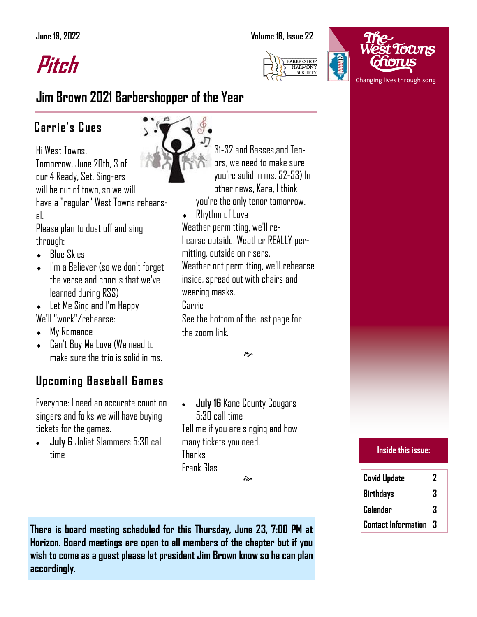**Pitch**

### **June 19, 2022 Volume 16, Issue 22**





## **Jim Brown 2021 Barbershopper of the Year**

## **Carrie's Cues**

Hi West Towns, Tomorrow, June 20th, 3 of our 4 Ready, Set, Sing-ers will be out of town, so we will have a "regular" West Towns rehearsal.

Please plan to dust off and sing through:

- Blue Skies
- I'm a Believer (so we don't forget the verse and chorus that we've learned during RSS)
- ◆ Let Me Sing and I'm Happy
- We'll "work"/rehearse:
- My Romance
- Can't Buy Me Love (We need to make sure the trio is solid in ms.

## **Upcoming Baseball Games**

Everyone: I need an accurate count on singers and folks we will have buying tickets for the games.

• **July 6** Joliet Slammers 5:30 call time

31-32 and Basses,and Tenors, we need to make sure you're solid in ms. 52-53) In other news, Kara, I think you're the only tenor tomorrow.

Rhythm of Love

Weather permitting, we'll rehearse outside. Weather REALLY permitting, outside on risers.

Weather not permitting, we'll rehearse inside, spread out with chairs and wearing masks.

Carrie

See the bottom of the last page for the zoom link

ત્રે

• **July 16** Kane County Cougars 5:30 call time Tell me if you are singing and how many tickets you need. Thanks Frank Glas

જી

**Inside this issue: Covid Update 2 Birthdays 3 Calendar 3 Contact Information 3**

**There is board meeting scheduled for this Thursday, June 23, 7:00 PM at Horizon. Board meetings are open to all members of the chapter but if you wish to come as a guest please let president Jim Brown know so he can plan accordingly.**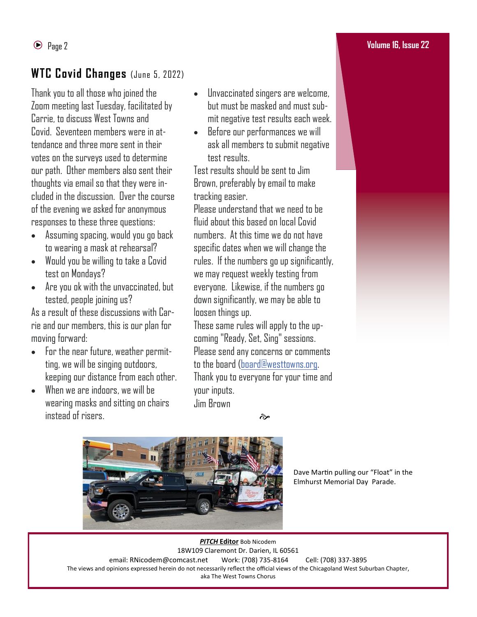## WTC Covid Changes (June 5, 2022)

Thank you to all those who joined the Zoom meeting last Tuesday, facilitated by Carrie, to discuss West Towns and Covid. Seventeen members were in attendance and three more sent in their votes on the surveys used to determine our path. Other members also sent their thoughts via email so that they were included in the discussion. Over the course of the evening we asked for anonymous responses to these three questions:

- Assuming spacing, would you go back to wearing a mask at rehearsal?
- Would you be willing to take a Covid test on Mondays?
- Are you ok with the unvaccinated, but tested, people joining us?

As a result of these discussions with Carrie and our members, this is our plan for moving forward:

- For the near future, weather permitting, we will be singing outdoors, keeping our distance from each other.
- When we are indoors, we will be wearing masks and sitting on chairs instead of risers.
- Unvaccinated singers are welcome, but must be masked and must submit negative test results each week.
- Before our performances we will ask all members to submit negative test results.

Test results should be sent to Jim Brown, preferably by email to make tracking easier.

Please understand that we need to be fluid about this based on local Covid numbers. At this time we do not have specific dates when we will change the rules. If the numbers go up significantly, we may request weekly testing from everyone. Likewise, if the numbers go down significantly, we may be able to loosen things up.

These same rules will apply to the upcoming "Ready, Set, Sing" sessions. Please send any concerns or comments to the board [\(board@westtowns.org.](mailto:board@westtowns.org) Thank you to everyone for your time and your inputs. Jim Brown

 $\approx$ 



Dave Martin pulling our "Float" in the Elmhurst Memorial Day Parade.

*PITCH* **Editor** Bob Nicodem 18W109 Claremont Dr. Darien, IL 60561 email: RNicodem@comcast.net Work: (708) 735-8164 Cell: (708) 337-3895 The views and opinions expressed herein do not necessarily reflect the official views of the Chicagoland West Suburban Chapter, aka The West Towns Chorus